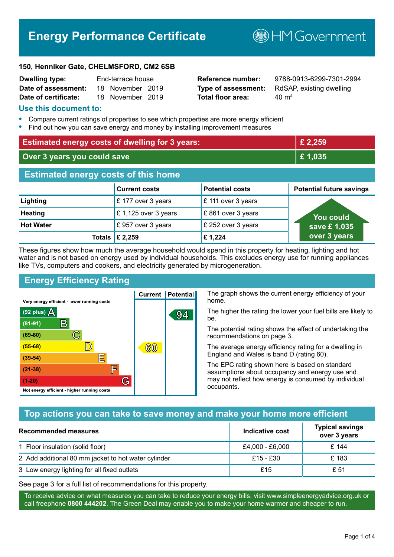# **Energy Performance Certificate**

**B**HM Government

#### **150, Henniker Gate, CHELMSFORD, CM2 6SB**

| <b>Dwelling type:</b> | End-terrace house |                  |  |
|-----------------------|-------------------|------------------|--|
| Date of assessment:   |                   | 18 November 2019 |  |
| Date of certificate:  |                   | 18 November 2019 |  |

# **Total floor area:** 40 m<sup>2</sup>

**Reference number:** 9788-0913-6299-7301-2994 **Type of assessment:** RdSAP, existing dwelling

#### **Use this document to:**

- **•** Compare current ratings of properties to see which properties are more energy efficient
- **•** Find out how you can save energy and money by installing improvement measures

| <b>Estimated energy costs of dwelling for 3 years:</b> |                           | £ 2,259                |                                 |
|--------------------------------------------------------|---------------------------|------------------------|---------------------------------|
| Over 3 years you could save                            |                           | £1,035                 |                                 |
| <b>Estimated energy costs of this home</b>             |                           |                        |                                 |
|                                                        | <b>Current costs</b>      | <b>Potential costs</b> | <b>Potential future savings</b> |
| Lighting                                               | £177 over 3 years         | £ 111 over 3 years     |                                 |
| <b>Heating</b>                                         | £1,125 over 3 years       | £861 over 3 years      | <b>You could</b>                |
| <b>Hot Water</b>                                       | £957 over 3 years         | £ 252 over 3 years     | save £1,035                     |
|                                                        | Totals $\mathsf{E}$ 2,259 | £1,224                 | over 3 years                    |

These figures show how much the average household would spend in this property for heating, lighting and hot water and is not based on energy used by individual households. This excludes energy use for running appliances like TVs, computers and cookers, and electricity generated by microgeneration.

**Current | Potential** 

60

94

# **Energy Efficiency Rating**

 $\mathbb{C}$ 

 $\mathbb{D}$ 

E

庐

G

Very energy efficient - lower running costs

 $\mathsf{R}% _{T}$ 

Not energy efficient - higher running costs

 $(92$  plus)

 $(81 - 91)$  $(69 - 80)$ 

 $(55-68)$ 

 $(39 - 54)$ 

 $(21-38)$ 

 $(1-20)$ 

- 70

The graph shows the current energy efficiency of your home.

The higher the rating the lower your fuel bills are likely to be.

The potential rating shows the effect of undertaking the recommendations on page 3.

The average energy efficiency rating for a dwelling in England and Wales is band D (rating 60).

The EPC rating shown here is based on standard assumptions about occupancy and energy use and may not reflect how energy is consumed by individual occupants.

# **Top actions you can take to save money and make your home more efficient**

| <b>Recommended measures</b>                         | Indicative cost | <b>Typical savings</b><br>over 3 years |
|-----------------------------------------------------|-----------------|----------------------------------------|
| 1 Floor insulation (solid floor)                    | £4,000 - £6,000 | £ 144                                  |
| 2 Add additional 80 mm jacket to hot water cylinder | $£15 - £30$     | £183                                   |
| 3 Low energy lighting for all fixed outlets         | £15             | £ 51                                   |

See page 3 for a full list of recommendations for this property.

To receive advice on what measures you can take to reduce your energy bills, visit www.simpleenergyadvice.org.uk or call freephone **0800 444202**. The Green Deal may enable you to make your home warmer and cheaper to run.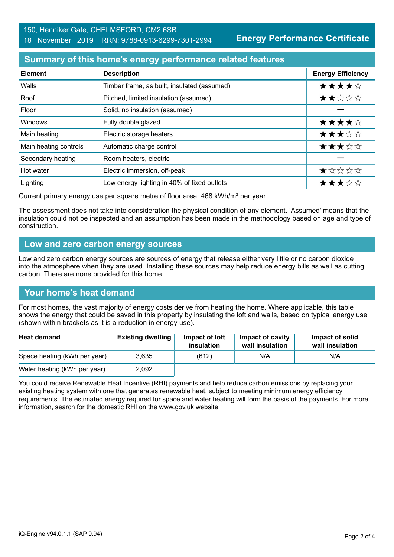### 150, Henniker Gate, CHELMSFORD, CM2 6SB 18 November 2019 RRN: 9788-0913-6299-7301-2994

**Energy Performance Certificate**

# **Summary of this home's energy performance related features**

| <b>Element</b>        | <b>Description</b>                          | <b>Energy Efficiency</b> |
|-----------------------|---------------------------------------------|--------------------------|
| Walls                 | Timber frame, as built, insulated (assumed) | ★★★★☆                    |
| Roof                  | Pitched, limited insulation (assumed)       | ★★☆☆☆                    |
| Floor                 | Solid, no insulation (assumed)              |                          |
| Windows               | Fully double glazed                         | ★★★★☆                    |
| Main heating          | Electric storage heaters                    | ★★★☆☆                    |
| Main heating controls | Automatic charge control                    | ★★★☆☆                    |
| Secondary heating     | Room heaters, electric                      |                          |
| Hot water             | Electric immersion, off-peak                | ★☆☆☆☆                    |
| Lighting              | Low energy lighting in 40% of fixed outlets | ★★★☆☆                    |

Current primary energy use per square metre of floor area: 468 kWh/m² per year

The assessment does not take into consideration the physical condition of any element. 'Assumed' means that the insulation could not be inspected and an assumption has been made in the methodology based on age and type of construction.

#### **Low and zero carbon energy sources**

Low and zero carbon energy sources are sources of energy that release either very little or no carbon dioxide into the atmosphere when they are used. Installing these sources may help reduce energy bills as well as cutting carbon. There are none provided for this home.

# **Your home's heat demand**

For most homes, the vast majority of energy costs derive from heating the home. Where applicable, this table shows the energy that could be saved in this property by insulating the loft and walls, based on typical energy use (shown within brackets as it is a reduction in energy use).

| <b>Heat demand</b>           | <b>Existing dwelling</b> | Impact of loft<br>insulation | Impact of cavity<br>wall insulation | Impact of solid<br>wall insulation |
|------------------------------|--------------------------|------------------------------|-------------------------------------|------------------------------------|
| Space heating (kWh per year) | 3.635                    | (612)                        | N/A                                 | N/A                                |
| Water heating (kWh per year) | 2,092                    |                              |                                     |                                    |

You could receive Renewable Heat Incentive (RHI) payments and help reduce carbon emissions by replacing your existing heating system with one that generates renewable heat, subject to meeting minimum energy efficiency requirements. The estimated energy required for space and water heating will form the basis of the payments. For more information, search for the domestic RHI on the www.gov.uk website.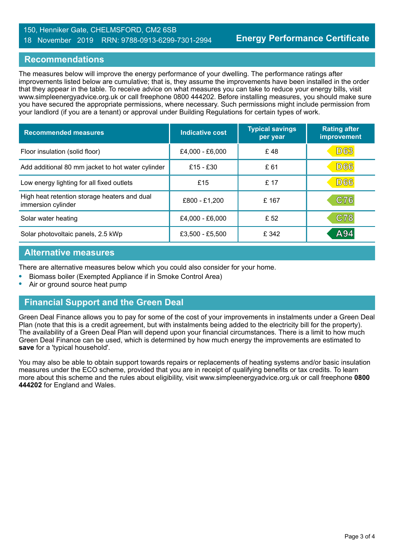#### 150, Henniker Gate, CHELMSFORD, CM2 6SB 18 November 2019 RRN: 9788-0913-6299-7301-2994

# **Recommendations**

The measures below will improve the energy performance of your dwelling. The performance ratings after improvements listed below are cumulative; that is, they assume the improvements have been installed in the order that they appear in the table. To receive advice on what measures you can take to reduce your energy bills, visit www.simpleenergyadvice.org.uk or call freephone 0800 444202. Before installing measures, you should make sure you have secured the appropriate permissions, where necessary. Such permissions might include permission from your landlord (if you are a tenant) or approval under Building Regulations for certain types of work.

| <b>Recommended measures</b>                                        | Indicative cost | <b>Typical savings</b><br>per year | <b>Rating after</b><br><b>improvement</b> |
|--------------------------------------------------------------------|-----------------|------------------------------------|-------------------------------------------|
| Floor insulation (solid floor)                                     | £4,000 - £6,000 | £48                                | <b>D63</b>                                |
| Add additional 80 mm jacket to hot water cylinder                  | £15 - £30       | £61                                | <b>D66</b>                                |
| Low energy lighting for all fixed outlets                          | £15             | £ 17                               | <b>D66</b>                                |
| High heat retention storage heaters and dual<br>immersion cylinder | £800 - £1,200   | £167                               | C76                                       |
| Solar water heating                                                | £4,000 - £6,000 | £ 52                               | C78                                       |
| Solar photovoltaic panels, 2.5 kWp                                 | £3,500 - £5,500 | £ 342                              | A94                                       |

#### **Alternative measures**

There are alternative measures below which you could also consider for your home.

- **•** Biomass boiler (Exempted Appliance if in Smoke Control Area)
- **•** Air or ground source heat pump

#### **Financial Support and the Green Deal**

Green Deal Finance allows you to pay for some of the cost of your improvements in instalments under a Green Deal Plan (note that this is a credit agreement, but with instalments being added to the electricity bill for the property). The availability of a Green Deal Plan will depend upon your financial circumstances. There is a limit to how much Green Deal Finance can be used, which is determined by how much energy the improvements are estimated to **save** for a 'typical household'.

You may also be able to obtain support towards repairs or replacements of heating systems and/or basic insulation measures under the ECO scheme, provided that you are in receipt of qualifying benefits or tax credits. To learn more about this scheme and the rules about eligibility, visit www.simpleenergyadvice.org.uk or call freephone **0800 444202** for England and Wales.